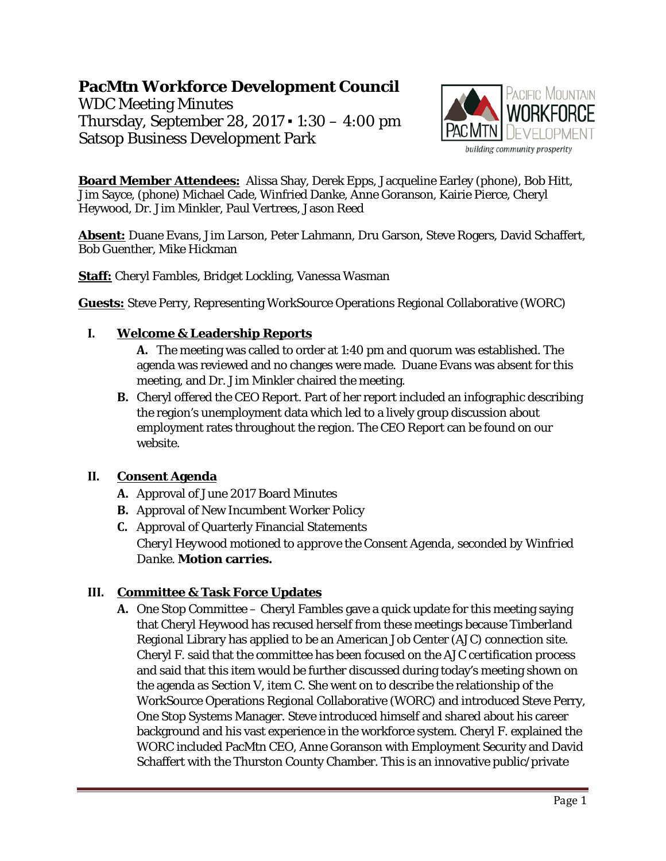# **PacMtn Workforce Development Council**

WDC Meeting Minutes Thursday, September 28, 2017 ▪ 1:30 – 4:00 pm Satsop Business Development Park



**Board Member Attendees:** Alissa Shay, Derek Epps, Jacqueline Earley (phone), Bob Hitt, Jim Sayce, (phone) Michael Cade, Winfried Danke, Anne Goranson, Kairie Pierce, Cheryl Heywood, Dr. Jim Minkler, Paul Vertrees, Jason Reed

**Absent:** Duane Evans, Jim Larson, Peter Lahmann, Dru Garson, Steve Rogers, David Schaffert, Bob Guenther, Mike Hickman

**Staff:** Cheryl Fambles, Bridget Lockling, Vanessa Wasman

**Guests:** Steve Perry, Representing WorkSource Operations Regional Collaborative (WORC)

# **I. Welcome & Leadership Reports**

**A.** The meeting was called to order at 1:40 pm and quorum was established. The agenda was reviewed and no changes were made. Duane Evans was absent for this meeting, and Dr. Jim Minkler chaired the meeting.

**B.** Cheryl offered the CEO Report. Part of her report included an infographic describing the region's unemployment data which led to a lively group discussion about employment rates throughout the region. The CEO Report can be found on our website.

# **II. Consent Agenda**

- **A.** Approval of June 2017 Board Minutes
- **B.** Approval of New Incumbent Worker Policy
- **C.** Approval of Quarterly Financial Statements *Cheryl Heywood motioned to approve the Consent Agenda, seconded by Winfried Danke.* **Motion carries.**

# **III. Committee & Task Force Updates**

**A.** One Stop Committee – Cheryl Fambles gave a quick update for this meeting saying that Cheryl Heywood has recused herself from these meetings because Timberland Regional Library has applied to be an American Job Center (AJC) connection site. Cheryl F. said that the committee has been focused on the AJC certification process and said that this item would be further discussed during today's meeting shown on the agenda as Section V, item C. She went on to describe the relationship of the WorkSource Operations Regional Collaborative (WORC) and introduced Steve Perry, One Stop Systems Manager. Steve introduced himself and shared about his career background and his vast experience in the workforce system. Cheryl F. explained the WORC included PacMtn CEO, Anne Goranson with Employment Security and David Schaffert with the Thurston County Chamber. This is an innovative public/private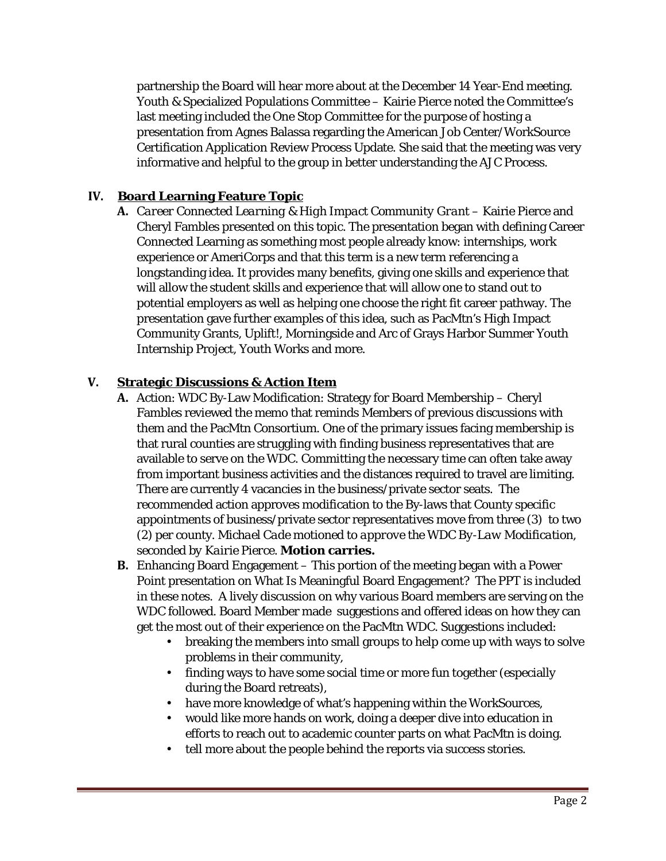partnership the Board will hear more about at the December 14 Year-End meeting. Youth & Specialized Populations Committee – Kairie Pierce noted the Committee's last meeting included the One Stop Committee for the purpose of hosting a presentation from Agnes Balassa regarding the American Job Center/WorkSource Certification Application Review Process Update. She said that the meeting was very informative and helpful to the group in better understanding the AJC Process.

# **IV. Board Learning Feature Topic**

**A.** *Career Connected Learning & High Impact Community Grant* – Kairie Pierce and Cheryl Fambles presented on this topic. The presentation began with defining Career Connected Learning as something most people already know: internships, work experience or AmeriCorps and that this term is a new term referencing a longstanding idea. It provides many benefits, giving one skills and experience that will allow the student skills and experience that will allow one to stand out to potential employers as well as helping one choose the right fit career pathway. The presentation gave further examples of this idea, such as PacMtn's High Impact Community Grants, Uplift!, Morningside and Arc of Grays Harbor Summer Youth Internship Project, Youth Works and more.

# **V. Strategic Discussions & Action Item**

- **A.** Action: WDC By-Law Modification: Strategy for Board Membership Cheryl Fambles reviewed the memo that reminds Members of previous discussions with them and the PacMtn Consortium. One of the primary issues facing membership is that rural counties are struggling with finding business representatives that are available to serve on the WDC. Committing the necessary time can often take away from important business activities and the distances required to travel are limiting. There are currently 4 vacancies in the business/private sector seats. The recommended action approves modification to the By-laws that County specific appointments of business/private sector representatives move from three (3) to two (2) per county. *Michael Cade motioned to approve the WDC By-Law Modification, seconded by Kairie Pierce.* **Motion carries.**
- **B.** Enhancing Board Engagement This portion of the meeting began with a Power Point presentation on What Is Meaningful Board Engagement? The PPT is included in these notes. A lively discussion on why various Board members are serving on the WDC followed. Board Member made suggestions and offered ideas on how they can get the most out of their experience on the PacMtn WDC. Suggestions included:
	- breaking the members into small groups to help come up with ways to solve problems in their community,
	- finding ways to have some social time or more fun together (especially during the Board retreats),
	- have more knowledge of what's happening within the WorkSources,
	- would like more hands on work, doing a deeper dive into education in efforts to reach out to academic counter parts on what PacMtn is doing.
	- tell more about the people behind the reports via success stories.